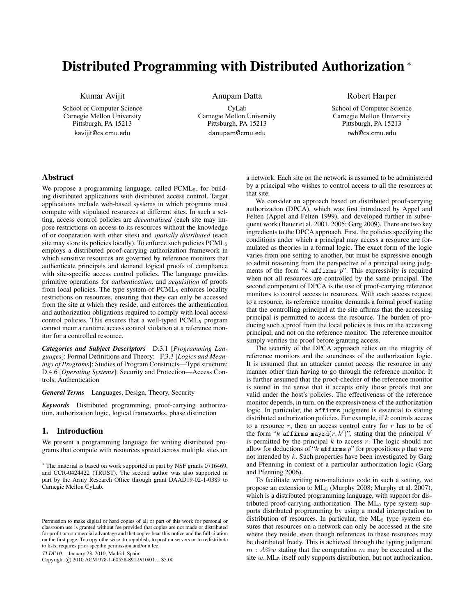# Distributed Programming with Distributed Authorization <sup>∗</sup>

Kumar Avijit

School of Computer Science Carnegie Mellon University Pittsburgh, PA 15213 kavijit@cs.cmu.edu

Anupam Datta

CyLab Carnegie Mellon University Pittsburgh, PA 15213 danupam@cmu.edu

Robert Harper

School of Computer Science Carnegie Mellon University Pittsburgh, PA 15213 rwh@cs.cmu.edu

# Abstract

We propose a programming language, called PCML<sub>5</sub>, for building distributed applications with distributed access control. Target applications include web-based systems in which programs must compute with stipulated resources at different sites. In such a setting, access control policies are *decentralized* (each site may impose restrictions on access to its resources without the knowledge of or cooperation with other sites) and *spatially distributed* (each site may store its policies locally). To enforce such policies PCML<sub>5</sub> employs a distributed proof-carrying authorization framework in which sensitive resources are governed by reference monitors that authenticate principals and demand logical proofs of compliance with site-specific access control policies. The language provides primitive operations for *authentication*, and *acquisition* of proofs from local policies. The type system of PCML<sub>5</sub> enforces locality restrictions on resources, ensuring that they can only be accessed from the site at which they reside, and enforces the authentication and authorization obligations required to comply with local access control policies. This ensures that a well-typed PCML<sub>5</sub> program cannot incur a runtime access control violation at a reference monitor for a controlled resource.

*Categories and Subject Descriptors* D.3.1 [*Programming Languages*]: Formal Definitions and Theory; F.3.3 [*Logics and Meanings of Programs*]: Studies of Program Constructs—Type structure; D.4.6 [*Operating Systems*]: Security and Protection—Access Controls, Authentication

*General Terms* Languages, Design, Theory, Security

*Keywords* Distributed programming, proof-carrying authorization, authorization logic, logical frameworks, phase distinction

# 1. Introduction

We present a programming language for writing distributed programs that compute with resources spread across multiple sites on

TLDI'10, January 23, 2010, Madrid, Spain.

Copyright © 2010 ACM 978-1-60558-891-9/10/01... \$5.00

a network. Each site on the network is assumed to be administered by a principal who wishes to control access to all the resources at that site.

We consider an approach based on distributed proof-carrying authorization (DPCA), which was first introduced by Appel and Felten (Appel and Felten 1999), and developed further in subsequent work (Bauer et al. 2001, 2005; Garg 2009). There are two key ingredients to the DPCA approach. First, the policies specifying the conditions under which a principal may access a resource are formulated as theories in a formal logic. The exact form of the logic varies from one setting to another, but must be expressive enough to admit reasoning from the perspective of a principal using judgments of the form " $k$  affirms  $p$ ". This expressivity is required when not all resources are controlled by the same principal. The second component of DPCA is the use of proof-carrying reference monitors to control access to resources. With each access request to a resource, its reference monitor demands a formal proof stating that the controlling principal at the site affirms that the accessing principal is permitted to access the resource. The burden of producing such a proof from the local policies is thus on the accessing principal, and not on the reference monitor. The reference monitor simply verifies the proof before granting access.

The security of the DPCA approach relies on the integrity of reference monitors and the soundness of the authorization logic. It is assumed that an attacker cannot access the resource in any manner other than having to go through the reference monitor. It is further assumed that the proof-checker of the reference monitor is sound in the sense that it accepts only those proofs that are valid under the host's policies. The effectiveness of the reference monitor depends, in turn, on the expressiveness of the authorization logic. In particular, the affirms judgment is essential to stating distributed authorization policies. For example, if  $k$  controls access to a resource  $r$ , then an access control entry for  $r$  has to be of the form " $k$  affirms mayrd $(r, k')$ ", stating that the principal  $k'$ is permitted by the principal  $k$  to access  $r$ . The logic should not allow for deductions of " $k$  affirms  $p$ " for propositions  $p$  that were not intended by k. Such properties have been investigated by Garg and Pfenning in context of a particular authorization logic (Garg and Pfenning 2006).

To facilitate writing non-malicious code in such a setting, we propose an extension to ML<sup>5</sup> (Murphy 2008; Murphy et al. 2007), which is a distributed programming language, with support for distributed proof-carrying authorization. The ML<sub>5</sub> type system supports distributed programming by using a modal interpretation to distribution of resources. In particular, the  $ML_5$  type system ensures that resources on a network can only be accessed at the site where they reside, even though references to these resources may be distributed freely. This is achieved through the typing judgment  $m : A@w$  stating that the computation m may be executed at the site  $w$ . ML<sub>5</sub> itself only supports distribution, but not authorization.

<sup>∗</sup> The material is based on work supported in part by NSF grants 0716469, and CCR-0424422 (TRUST). The second author was also supported in part by the Army Research Office through grant DAAD19-02-1-0389 to Carnegie Mellon CyLab.

Permission to make digital or hard copies of all or part of this work for personal or classroom use is granted without fee provided that copies are not made or distributed for profit or commercial advantage and that copies bear this notice and the full citation on the first page. To copy otherwise, to republish, to post on servers or to redistribute to lists, requires prior specific permission and/or a fee.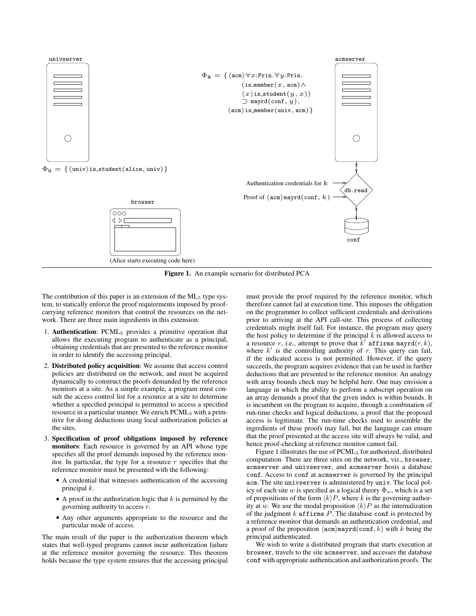

Figure 1. An example scenario for distributed PCA

The contribution of this paper is an extension of the ML<sub>5</sub> type system, to statically enforce the proof requirements imposed by proofcarrying reference monitors that control the resources on the network. There are three main ingredients in this extension:

- 1. Authentication: PCML<sub>5</sub> provides a primitive operation that allows the executing program to authenticate as a principal, obtaining credentials that are presented to the reference monitor in order to identify the accessing principal.
- 2. Distributed policy acquisition: We assume that access control policies are distributed on the network, and must be acquired dynamically to construct the proofs demanded by the reference monitors at a site. As a simple example, a program must consult the access control list for a resource at a site to determine whether a specified principal is permitted to access a specified resource in a particular manner. We enrich PCML<sub>5</sub> with a primitive for doing deductions using local authorization policies at the sites.
- 3. Specification of proof obligations imposed by reference monitors: Each resource is governed by an API whose type specifies all the proof demands imposed by the reference monitor. In particular, the type for a resource  $r$  specifies that the reference monitor must be presented with the following:
	- A credential that witnesses authentication of the accessing principal k.
	- A proof in the authorization logic that  $k$  is permitted by the governing authority to access r.
	- Any other arguments appropriate to the resource and the particular mode of access.

The main result of the paper is the authorization theorem which states that well-typed programs cannot incur authorization failure at the reference monitor governing the resource. This theorem holds because the type system ensures that the accessing principal must provide the proof required by the reference monitor, which therefore cannot fail at execution time. This imposes the obligation on the programmer to collect sufficient credentials and derivations prior to arriving at the API call-site. This process of collecting credentials might itself fail. For instance, the program may query the host policy to determine if the principal  $k$  is allowed access to a resource r, i.e., attempt to prove that  $k'$  affirms mayrd $(r, k)$ , where  $k'$  is the controlling authority of r. This query can fail, if the indicated access is not permitted. However, if the query succeeds, the program acquires evidence that can be used in further deductions that are presented to the reference monitor. An analogy with array bounds check may be helpful here. One may envision a language in which the ability to perform a subscript operation on an array demands a proof that the given index is within bounds. It is incumbent on the program to acquire, through a combination of run-time checks and logical deductions, a proof that the proposed access is legitimate. The run-time checks used to assemble the ingredients of these proofs may fail, but the language can ensure that the proof presented at the access site will always be valid, and hence proof-checking at reference monitor cannot fail.

Figure 1 illustrates the use of PCML<sub>5</sub> for authorized, distributed computation. There are three sites on the network, viz., browser, acmserver and univserver, and acmserver hosts a database conf. Access to conf at acmserver is governed by the principal acm. The site univserver is administered by univ. The local policy of each site w is specified as a logical theory  $\Phi_w$ , which is a set of propositions of the form  $\langle k \rangle P$ , where k is the governing authority at w. We use the modal proposition  $\langle k \rangle P$  as the internalization of the judgment  $k$  affirms  $P$ . The database conf is protected by a reference monitor that demands an authentication credential, and a proof of the proposition  $\langle \texttt{acm} \rangle$  mayrd $(\texttt{conf}, k)$  with k being the principal authenticated.

We wish to write a distributed program that starts execution at browser, travels to the site acmserver, and accesses the database conf with appropriate authentication and authorization proofs. The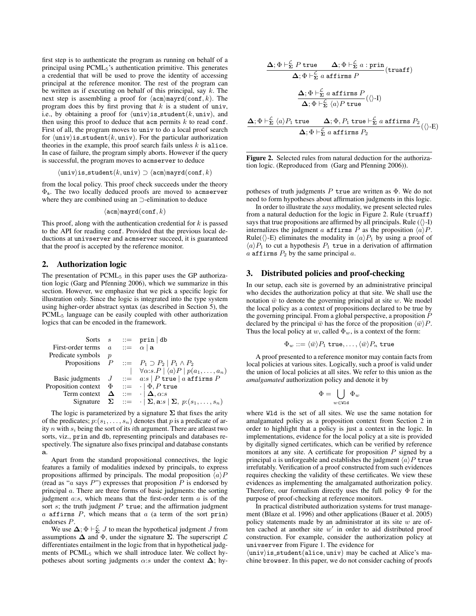first step is to authenticate the program as running on behalf of a principal using PCML5's authentication primitive. This generates a credential that will be used to prove the identity of accessing principal at the reference monitor. The rest of the program can be written as if executing on behalf of this principal, say  $k$ . The next step is assembling a proof for  $\langle \texttt{acm} \rangle$  mayrd $\langle \texttt{conf}, k \rangle$ . The program does this by first proving that  $k$  is a student of univ, i.e., by obtaining a proof for  $\langle \text{univ} \rangle$ is student $(k, \text{univ})$ , and then using this proof to deduce that acm permits  $k$  to read conf. First of all, the program moves to univ to do a local proof search for  $\langle \text{univ} \rangle$  is student $(k, \text{univ})$ . For the particular authorization theories in the example, this proof search fails unless  $k$  is alice. In case of failure, the program simply aborts. However if the query is successful, the program moves to acmserver to deduce

$$
\langle \texttt{univ} \rangle \texttt{is\_student}(k, \texttt{univ}) \supset \langle \texttt{acm} \rangle \texttt{mayrd}(\texttt{conf}, k)
$$

from the local policy. This proof check succeeds under the theory Φa. The two locally deduced proofs are moved to acmserver where they are combined using an ⊃-elimination to deduce

$$
\langle \texttt{acm}\rangle \texttt{mayrd}(\texttt{conf},k)
$$

This proof, along with the authentication credential for  $k$  is passed to the API for reading conf. Provided that the previous local deductions at univserver and acmserver succeed, it is guaranteed that the proof is accepted by the reference monitor.

# 2. Authorization logic

The presentation of  $PCML<sub>5</sub>$  in this paper uses the GP authorization logic (Garg and Pfenning 2006), which we summarize in this section. However, we emphasize that we pick a specific logic for illustration only. Since the logic is integrated into the type system using higher-order abstract syntax (as described in Section 5), the PCML<sup>5</sup> language can be easily coupled with other authorization logics that can be encoded in the framework.

| Sorts               | s        | ::=      | prin   db                                     |
|---------------------|----------|----------|-----------------------------------------------|
| First-order terms   | $a$      | ::=      | $\alpha$   a                                  |
| Predictate symbols  | $p$      | $\vdots$ | $P_1 \supset P_2   P_1 \wedge P_2$            |
| Propositions        | $P$      | ::=      | $P_1 \supset P_2   P_1 \wedge P_2$            |
| Basic judgments     | $J$      | ::=      | $as   P$ true   $a$ affirms $P$               |
| Proposition context | $\Phi$   | ::=      | $\cdot   \Phi, P$ true                        |
| Term context        | $\Delta$ | ::=      | $\cdot   \Delta, \alpha$ : $s$                |
| Signature           | $\Sigma$ | ::=      | $ \Sigma, a:s   \Sigma, p:(s_1, \ldots, s_n)$ |

The logic is parameterized by a signature  $\Sigma$  that fixes the arity of the predicates;  $p:(s_1,\ldots,s_n)$  denotes that p is a predicate of arity n with  $s_i$  being the sort of its *i*th argument. There are atleast two sorts, viz., prin and db, representing principals and databases respectively. The signature also fixes principal and database constants a.

Apart from the standard propositional connectives, the logic features a family of modalities indexed by principals, to express propositions affirmed by principals. The modal proposition  $\langle a \rangle P$ (read as " $a$  says  $P$ ") expresses that proposition  $P$  is endorsed by principal a. There are three forms of basic judgments: the sorting judgment  $a:s$ , which means that the first-order term  $a$  is of the sort  $s$ ; the truth judgment  $P$  true; and the affirmation judgment  $a$  affirms  $P$ , which means that  $a$  (a term of the sort prin) endorses P.

We use  $\Delta$ ;  $\Phi \vdash_{\Sigma}^{\mathcal{L}} J$  to mean the hypothetical judgment  $J$  from assumptions  $\Delta$  and  $\Phi$ , under the signature  $\Sigma$ . The superscript  $\mathcal L$ differentiates entailment in the logic from that in hypothetical judgments of PCML<sub>5</sub> which we shall introduce later. We collect hypotheses about sorting judgments  $\alpha$ :s under the context  $\Delta$ ; hy-

$$
\frac{\Delta; \Phi \vdash_{\Sigma}^{\mathcal{L}} P \text{ true } \Delta; \Phi \vdash_{\Sigma}^{\mathcal{L}} a : \text{prin}}{\Delta; \Phi \vdash_{\Sigma}^{\mathcal{L}} a \text{ affirms } P} (\text{truaff})
$$
\n
$$
\frac{\Delta; \Phi \vdash_{\Sigma}^{\mathcal{L}} a \text{ affirms } P}{\Delta; \Phi \vdash_{\Sigma}^{\mathcal{L}} \langle a \rangle P \text{ true}} (\langle \rangle \cdot I)
$$
\n
$$
;\Phi \vdash_{\Sigma}^{\mathcal{L}} \langle a \rangle P_1 \text{ true } \Delta; \Phi, P_1 \text{ true } \vdash_{\Sigma}^{\mathcal{L}} a \text{ affirms } P_2 (\langle \rangle \cdot E)
$$
\n
$$
\Delta; \Phi \vdash_{\Sigma}^{\mathcal{L}} a \text{ affirms } P_2 (\langle \rangle \cdot E)
$$

Figure 2. Selected rules from natural deduction for the authorization logic. (Reproduced from (Garg and Pfenning 2006)).

 $\Delta$ 

potheses of truth judgments  $P$  true are written as  $\Phi$ . We do not need to form hypotheses about affirmation judgments in this logic.

In order to illustrate the *says* modality, we present selected rules from a natural deduction for the logic in Figure 2. Rule (truaff) says that true propositions are affirmed by all principals. Rule  $(\langle$  $\rangle$ -I) internalizes the judgment a affirms P as the proposition  $\langle a \rangle P$ . Rule( $\langle\rangle$ -E) eliminates the modality in  $\langle a \rangle P_1$  by using a proof of  $\langle a \rangle P_1$  to cut a hypothesis  $P_1$  true in a derivation of affirmation  $a$  affirms  $P_2$  by the same principal  $a$ .

# 3. Distributed policies and proof-checking

In our setup, each site is governed by an administrative principal who decides the authorization policy at that site. We shall use the notation  $\bar{w}$  to denote the governing principal at site w. We model the local policy as a context of propositions declared to be true by the governing principal. From a global perspective, a proposition P declared by the principal  $\bar{w}$  has the force of the proposition  $\langle \bar{w} \rangle P$ . Thus the local policy at w, called  $\Phi_w$ , is a context of the form:

$$
\Phi_w ::= \langle \bar{w} \rangle P_1 \ \mathtt{true}, \ldots, \langle \bar{w} \rangle P_n \ \mathtt{true}
$$

A proof presented to a reference monitor may contain facts from local policies at various sites. Logically, such a proof is valid under the union of local policies at all sites. We refer to this union as the *amalgamated* authorization policy and denote it by

$$
\Phi = \bigcup_{w \in \mathsf{W1d}} \Phi_w
$$

where Wld is the set of all sites. We use the same notation for amalgamated policy as a proposition context from Section 2 in order to highlight that a policy is just a context in the logic. In implementations, evidence for the local policy at a site is provided by digitally signed certificates, which can be verified by reference monitors at any site. A certificate for proposition  $P$  signed by a principal a is unforgeable and establishes the judgment  $\langle a \rangle P$  true irrefutably. Verification of a proof constructed from such evidences requires checking the validity of these certificates. We view these evidences as implementing the amalgamated authorization policy. Therefore, our formalism directly uses the full policy  $\Phi$  for the purpose of proof-checking at reference monitors.

In practical distributed authorization systems for trust management (Blaze et al. 1996) and other applications (Bauer et al. 2005) policy statements made by an administrator at its site  $w$  are often cached at another site  $w'$  in order to aid distributed proof construction. For example, consider the authorization policy at univserver from Figure 1. The evidence for

 $\langle \text{univ} \rangle$ is student(alice, univ) may be cached at Alice's machine browser. In this paper, we do not consider caching of proofs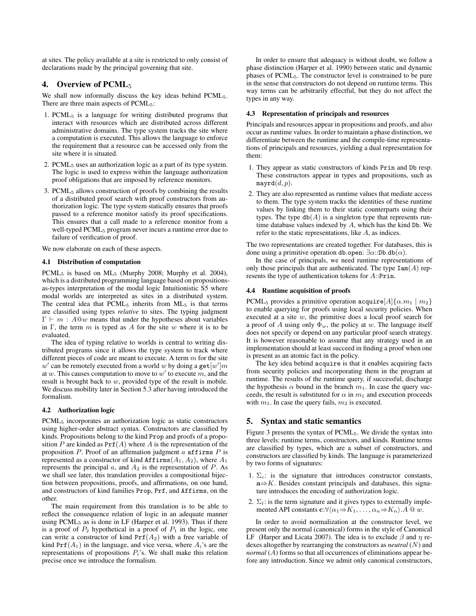at sites. The policy available at a site is restricted to only consist of declarations made by the principal governing that site.

# 4. Overview of PCML<sub>5</sub>

We shall now informally discuss the key ideas behind PCML<sub>5</sub>. There are three main aspects of PCML<sub>5</sub>:

- 1. PCML<sup>5</sup> is a language for writing distributed programs that interact with resources which are distributed across different administrative domains. The type system tracks the site where a computation is executed. This allows the language to enforce the requirement that a resource can be accessed only from the site where it is situated.
- 2. PCML<sup>5</sup> uses an authorization logic as a part of its type system. The logic is used to express within the language authorization proof obligations that are imposed by reference monitors.
- 3. PCML<sup>5</sup> allows construction of proofs by combining the results of a distributed proof search with proof constructors from authorization logic. The type system statically ensures that proofs passed to a reference monitor satisfy its proof specifications. This ensures that a call made to a reference monitor from a well-typed PCML<sub>5</sub> program never incurs a runtime error due to failure of verification of proof.

We now elaborate on each of these aspects.

### 4.1 Distribution of computation

PCML<sup>5</sup> is based on ML<sup>5</sup> (Murphy 2008; Murphy et al. 2004), which is a distributed programming language based on propositionsas-types interpretation of the modal logic Intuitionistic S5 where modal worlds are interpreted as sites in a distributed system. The central idea that  $PCML<sub>5</sub>$  inherits from  $ML<sub>5</sub>$  is that terms are classified using types *relative* to sites. The typing judgment  $\Gamma \vdash m : A@w$  means that under the hypotheses about variables in Γ, the term  $m$  is typed as  $A$  for the site  $w$  where it is to be evaluated.

The idea of typing relative to worlds is central to writing distributed programs since it allows the type system to track where different pieces of code are meant to execute. A term  $m$  for the site w' can be remotely executed from a world w by doing a get  $[w']m$ at w. This causes computation to move to  $w'$  to execute  $m$ , and the result is brought back to w, provided type of the result is mobile. We discuss mobility later in Section 5.3 after having introduced the formalism.

#### 4.2 Authorization logic

PCML<sup>5</sup> incorporates an authorization logic as static constructors using higher-order abstract syntax. Constructors are classified by kinds. Propositions belong to the kind Prop and proofs of a proposition P are kinded as  $Prf(A)$  where A is the representation of the proposition  $P$ . Proof of an affirmation judgment  $a$  affirms  $P$  is represented as a constructor of kind  $Affirms(A_1, A_2)$ , where  $A_1$ represents the principal  $a$ , and  $A_2$  is the representation of  $P$ . As we shall see later, this translation provides a compositional bijection between propositions, proofs, and affirmations, on one hand, and constructors of kind families Prop, Prf, and Affirms, on the other.

The main requirement from this translation is to be able to reflect the consequence relation of logic in an adequate manner using PCML<sub>5</sub> as is done in LF (Harper et al. 1993). Thus if there is a proof of  $P_2$  hypothetical in a proof of  $P_1$  in the logic, one can write a constructor of kind  $Prf(A_2)$  with a free variable of kind  $Prf(A_1)$  in the language, and vice versa, where  $A_i$ 's are the representations of propositions  $P_i$ 's. We shall make this relation precise once we introduce the formalism.

In order to ensure that adequacy is without doubt, we follow a phase distinction (Harper et al. 1990) between static and dynamic phases of PCML5. The constructor level is constrained to be pure in the sense that constructors do not depend on runtime terms. This way terms can be arbitrarily effectful, but they do not affect the types in any way.

#### 4.3 Representation of principals and resources

Principals and resources appear in propositions and proofs, and also occur as runtime values. In order to maintain a phase distinction, we differentiate between the runtime and the compile-time representations of principals and resources, yielding a dual representation for them:

- 1. They appear as static constructors of kinds Prin and Db resp. These constructors appear in types and propositions, such as  $mayrd(d, p).$
- 2. They are also represented as runtime values that mediate access to them. The type system tracks the identities of these runtime values by linking them to their static counterparts using their types. The type  $db(A)$  is a singleton type that represents runtime database values indexed by A, which has the kind Db. We refer to the static representations, like A, as indices.

The two representations are created together. For databases, this is done using a primitive operation db.open:  $\exists \alpha$ ::Db.db( $\alpha$ ).

In the case of principals, we need runtime representations of only those principals that are authenticated. The type  $\text{Iam}(A)$  represents the type of authentication tokens for A::Prin.

#### 4.4 Runtime acquisition of proofs

PCML<sub>5</sub> provides a primitive operation acquire[A]{ $\alpha.m_1 \mid m_2$ } to enable querying for proofs using local security policies. When executed at a site w, the primitive does a local proof search for a proof of A using only  $\Phi_w$ , the policy at w. The language itself does not specify or depend on any particular proof search strategy. It is however reasonable to assume that any strategy used in an implementation should at least succeed in finding a proof when one is present as an atomic fact in the policy.

The key idea behind acquire is that it enables acquiring facts from security policies and incorporating them in the program at runtime. The results of the runtime query, if successful, discharge the hypothesis  $\alpha$  bound in the branch  $m_1$ . In case the query succeeds, the result is substituted for  $\alpha$  in  $m_1$  and execution proceeds with  $m_1$ . In case the query fails,  $m_2$  is executed.

# 5. Syntax and static semantics

Figure 3 presents the syntax of PCML5. We divide the syntax into three levels: runtime terms, constructors, and kinds. Runtime terms are classified by types, which are a subset of constructors, and constructors are classified by kinds. The language is parameterized by two forms of signatures:

- 1.  $\Sigma_c$ : is the signature that introduces constructor constants, a⇒K. Besides constant principals and databases, this signature introduces the encoding of authorization logic.
- 2.  $\Sigma_t$ : is the term signature and it gives types to externally implemented API constants  $\mathbf{c}: \forall \langle \alpha_1 \Rightarrow K_1, \dots, \alpha_n \Rightarrow K_n \rangle$ . A @ w.

In order to avoid normalization at the constructor level, we present only the normal (canonical) forms in the style of Canonical LF (Harper and Licata 2007). The idea is to exclude  $\beta$  and  $\eta$  redexes altogether by rearranging the constructors as *neutral* (N) and *normal* (A) forms so that all occurrences of eliminations appear before any introduction. Since we admit only canonical constructors,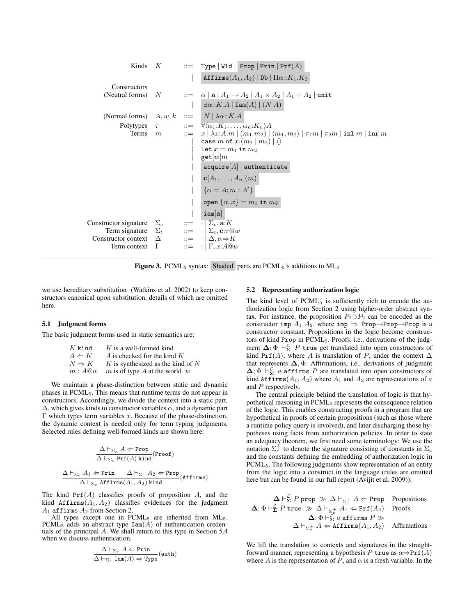| Kinds $K$                    | $ ::= \text{ Type }   \text{ Wld }   \text{ Prop }   \text{ Prin }   \text{ Prf}(A)  $                                                                                                                         |
|------------------------------|----------------------------------------------------------------------------------------------------------------------------------------------------------------------------------------------------------------|
|                              | Affirms $(A_1, A_2)$   Db   $\Pi \alpha$ :: $K_1.K_2$                                                                                                                                                          |
|                              |                                                                                                                                                                                                                |
|                              | (Neutral forms) $N$ $::=\alpha   \mathbf{a}   A_1 \rightarrow A_2   A_1 \times A_2   A_1 + A_2   \text{unit}$                                                                                                  |
|                              | $\exists \alpha : K.A \mid \text{Iam}(A) \mid (N \ A)$                                                                                                                                                         |
|                              |                                                                                                                                                                                                                |
|                              | $\overline{\forall \langle \alpha_1:K_1,\ldots,\alpha_n:K_n \rangle A}$                                                                                                                                        |
| $\boldsymbol{m}$             | $::= x \mid \lambda x{:}A.m \mid (m_1 m_2) \mid \langle m_1, m_2 \rangle \mid \pi_1 m \mid \pi_2 m \mid \text{inl } m \mid \text{inr } m$                                                                      |
|                              | case $m$ of $x.(m_1   m_2)   \langle \rangle$                                                                                                                                                                  |
|                              | let $x = m_1$ in $m_2$                                                                                                                                                                                         |
|                              | get[w m                                                                                                                                                                                                        |
|                              | $\alpha$ acquire $[A]$ authenticate                                                                                                                                                                            |
|                              | $\mathbf{c}[A_1,\ldots,A_n](m)$                                                                                                                                                                                |
|                              | $\{\alpha = A; m : A'\}$                                                                                                                                                                                       |
|                              | open $\{\alpha, x\} = m_1$ in $m_2$                                                                                                                                                                            |
|                              | iam[a]                                                                                                                                                                                                         |
|                              |                                                                                                                                                                                                                |
|                              |                                                                                                                                                                                                                |
| Constructor context $\Delta$ | $ ::= \cdot   \Delta, \alpha \Rightarrow K$                                                                                                                                                                    |
| $\Gamma$                     | $ ::= \cdot   \Gamma, x : A @ w$                                                                                                                                                                               |
|                              | (Normal forms) $A, w, k$ ::= $N   \lambda \alpha$ ::K.A<br>$\tau$<br>Constructor signature $\Sigma_c$ ::= $\cdot   \Sigma_c, \mathbf{a}:K$<br>Term signature $\Sigma_t$ ::= $\cdot   \Sigma_t$ , c: $\tau @ w$ |

Figure 3. PCML<sub>5</sub> syntax: Shaded parts are PCML<sub>5</sub>'s additions to ML<sub>5</sub>

we use hereditary substitution (Watkins et al. 2002) to keep constructors canonical upon substitution, details of which are omitted here.

#### 5.1 Judgment forms

The basic judgment forms used in static semantics are:

| $K$ kind          | $K$ is a well-formed kind           |
|-------------------|-------------------------------------|
| $A \Leftarrow K$  | A is checked for the kind $K$       |
| $N \Rightarrow K$ | $K$ is synthesized as the kind of N |
| m: A@w            | m is of type A at the world $w$     |

We maintain a phase-distinction between static and dynamic phases in PCML5. This means that runtime terms do not appear in constructors. Accordingly, we divide the context into a static part,  $\Delta$ , which gives kinds to constructor variables  $\alpha$ , and a dynamic part  $Γ$  which types term variables x. Because of the phase-distinction, the dynamic context is needed only for term typing judgments. Selected rules defining well-formed kinds are shown here:

$$
\Delta \vdash_{\Sigma_c} A \Leftarrow \text{Prop}(\text{Proof})
$$
\n
$$
\Delta \vdash_{\Sigma_c} \text{Prf}(A) \text{ kind}(\text{Proof})
$$
\n
$$
\Delta \vdash_{\Sigma_c} A_1 \Leftarrow \text{Prin} \quad \Delta \vdash_{\Sigma_c} A_2 \Leftarrow \text{Prop}(\text{Affirms})
$$
\n
$$
\Delta \vdash_{\Sigma_c} \text{Affirms}(A_1, A_2) \text{ kind}(\text{Affirms})
$$

The kind  $Prf(A)$  classifies proofs of proposition A, and the kind  $Affirms(A_1, A_2)$  classifies evidences for the judgment  $A_1$  affirms  $A_2$  from Section 2.

All types except one in PCML<sub>5</sub> are inherited from ML<sub>5</sub>. PCML<sub>5</sub> adds an abstract type  $\tan(A)$  of authentication credentials of the principal A. We shall return to this type in Section 5.4 when we discuss authentication.

$$
\frac{\Delta\vdash_{\Sigma_{c}} A \Leftarrow \mathtt{Prin}}{\Delta\vdash_{\Sigma_{c}}\mathtt{Iam}(A) \Rightarrow \mathtt{Type}}(\mathtt{auth})
$$

## 5.2 Representing authorization logic

The kind level of  $PCML<sub>5</sub>$  is sufficiently rich to encode the authorization logic from Section 2 using higher-order abstract syntax. For instance, the proposition  $P_1 \supset P_2$  can be encoded as the constructor imp  $A_1$   $A_2$ , where imp  $\Rightarrow$  Prop $\rightarrow$ Prop $\rightarrow$ Prop is a constructor constant. Propositions in the logic become constructors of kind Prop in PCML5. Proofs, i.e., derivations of the judgment  $\Delta$ ;  $\Phi \vdash_{\Sigma}^{\mathcal{L}} P$  true get translated into open constructors of kind Prf(A), where A is translation of P, under the context  $\Delta$ that represents  $\Delta$ ,  $\Phi$ . Affirmations, i.e., derivations of judgment  $\Delta; \Phi \vdash_{\Sigma}^{\mathcal{L}} a$  affirms P are translated into open constructors of kind  $Affirms(A_1, A_2)$  where  $A_1$  and  $A_2$  are representations of a and P respectively.

The central principle behind the translation of logic is that hypothetical reasoning in PCML<sub>5</sub> represents the consequence relation of the logic. This enables constructing proofs in a program that are hypothetical in proofs of certain propositions (such as those where a runtime policy query is involved), and later discharging those hypotheses using facts from authorization policies. In order to state an adequacy theorem, we first need some terminology: We use the notation  $\Sigma_c^+$  to denote the signature consisting of constants in  $\Sigma_c$ and the constants defining the embedding of authorization logic in PCML5. The following judgments show representation of an entity from the logic into a construct in the language (rules are omitted here but can be found in our full report (Avijit et al. 2009)):

$$
\Delta \vdash_{\Sigma}^{\mathcal{L}} P \text{ prop } \gg \Delta \vdash_{\Sigma_{\mathcal{L}}^+} A \Leftarrow \text{Prop } \text{ Propositions}
$$
\n
$$
\Delta; \Phi \vdash_{\Sigma}^{\mathcal{L}} P \text{ true } \gg \Delta \vdash_{\Sigma_{\mathcal{L}}^+} A_1 \Leftarrow \text{Prf}(A_2) \text{ Proofs}
$$
\n
$$
\Delta; \Phi \vdash_{\Sigma}^{\mathcal{L}} a \text{ affirms } P \gg
$$
\n
$$
\Delta \vdash_{\Sigma_{\mathcal{L}}^+} A \Leftarrow \text{Affirms}(A_1, A_2) \text{ Affirmations}
$$

We lift the translation to contexts and signatures in the straightforward manner, representing a hypothesis P true as  $\alpha \Rightarrow Prf(A)$ where A is the representation of P, and  $\alpha$  is a fresh variable. In the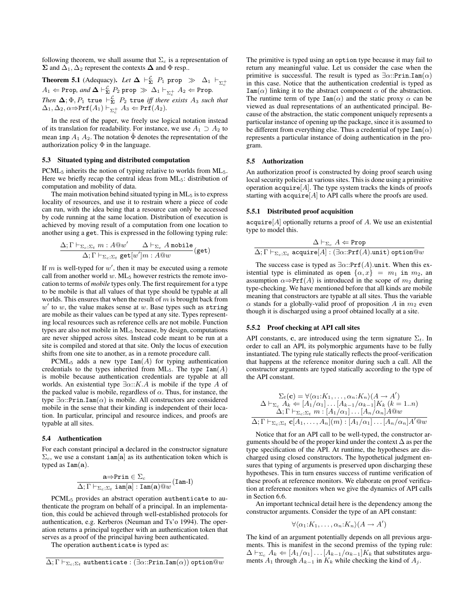following theorem, we shall assume that  $\Sigma_c$  is a representation of  $\Sigma$  and  $\Delta_1, \Delta_2$  represent the contexts  $\Delta$  and  $\Phi$  resp..

**Theorem 5.1** (Adequacy). Let  $\Delta \vdash_{\Sigma}^{\mathcal{L}} P_1$  prop  $\gg \Delta_1 \vdash_{\Sigma_c^{\mathcal{L}}}$  $A_1 \Leftarrow$  Prop, and  $\mathbf{\Delta} \vdash_{\mathbf{\Sigma}}^{\mathcal{L}} P_2$  prop  $\gg \Delta_1 \vdash_{\mathbf{\Sigma}_c^+} A_2 \Leftarrow$  Prop. *Then*  $\Delta$ ;  $\Phi$ ,  $P_1$  true  $\vdash^{\mathcal{L}}_{\mathbf{\Sigma}}$   $P_2$  true *iff there exists*  $A_3$  *such that*  $\Delta_1, \Delta_2, \alpha \Rightarrow \text{Prf}(A_1) \vdash_{\Sigma_c^+} A_3 \Leftarrow \text{Prf}(A_2).$ 

In the rest of the paper, we freely use logical notation instead of its translation for readability. For instance, we use  $A_1 \supset A_2$  to mean imp  $A_1 A_2$ . The notation  $\Phi$  denotes the representation of the authorization policy  $\Phi$  in the language.

#### 5.3 Situated typing and distributed computation

PCML<sub>5</sub> inherits the notion of typing relative to worlds from ML<sub>5</sub>. Here we briefly recap the central ideas from  $ML_5$ : distribution of computation and mobility of data.

The main motivation behind situated typing in  $ML_5$  is to express locality of resources, and use it to restrain where a piece of code can run, with the idea being that a resource can only be accessed by code running at the same location. Distribution of execution is achieved by moving result of a computation from one location to another using a get. This is expressed in the following typing rule:

$$
\frac{\Delta; \Gamma \vdash_{\Sigma_c; \Sigma_t} m : A@w' \quad \Delta \vdash_{\Sigma_c} A \text{ mobile}}{\Delta; \Gamma \vdash_{\Sigma_c; \Sigma_t} \text{get}[w']m : A@w}(\text{get})
$$

If m is well-typed for  $w'$ , then it may be executed using a remote call from another world  $w$ . ML<sub>5</sub> however restricts the remote invocation to terms of *mobile* types only. The first requirement for a type to be mobile is that all values of that type should be typable at all worlds. This ensures that when the result of  $m$  is brought back from  $w'$  to  $w$ , the value makes sense at  $w$ . Base types such as string are mobile as their values can be typed at any site. Types representing local resources such as reference cells are not mobile. Function types are also not mobile in  $ML_5$  because, by design, computations are never shipped across sites. Instead code meant to be run at a site is compiled and stored at that site. Only the locus of execution shifts from one site to another, as in a remote procedure call.

PCML<sub>5</sub> adds a new type  $\tan(A)$  for typing authentication credentials to the types inherited from  $ML_5$ . The type  $Tan(A)$ is mobile because authentication credentials are typable at all worlds. An existential type  $\exists \alpha : K.A$  is mobile if the type A of the packed value is mobile, regardless of  $\alpha$ . Thus, for instance, the type  $\exists \alpha$ ::Prin.Iam( $\alpha$ ) is mobile. All constructors are considered mobile in the sense that their kinding is independent of their location. In particular, principal and resource indices, and proofs are typable at all sites.

#### 5.4 Authentication

For each constant principal a declared in the constructor signature  $\Sigma_c$ , we use a constant iam[a] as its authentication token which is typed as  $\text{Iam}(\mathbf{a})$ .

$$
\cfrac{\mathbf{a}{\Rightarrow}\mathrm{Prin}\in\Sigma_c}{\Delta;\Gamma\vdash_{\Sigma_c;\Sigma_t}\mathrm{iam}[\mathbf{a}]:\mathrm{Iam}(\mathbf{a})\t@w}(\mathrm{Iam\text{-}I})
$$

PCML<sub>5</sub> provides an abstract operation authenticate to authenticate the program on behalf of a principal. In an implementation, this could be achieved through well-established protocols for authentication, e.g. Kerberos (Neuman and Ts'o 1994). The operation returns a principal together with an authentication token that serves as a proof of the principal having been authenticated.

The operation authenticate is typed as:

```
\overline{\Delta;\Gamma \vdash_{\Sigma_c;\Sigma_t} authenticate : (\exists \alpha::\texttt{Prin.Iam}(\alpha)) option@w
```
The primitive is typed using an option type because it may fail to return any meaningful value. Let us consider the case when the primitive is successful. The result is typed as  $\exists \alpha$ ::Prin.Iam( $\alpha$ ) in this case. Notice that the authentication credential is typed as  $\text{Iam}(\alpha)$  linking it to the abstract component  $\alpha$  of the abstraction. The runtime term of type  $\text{Iam}(\alpha)$  and the static proxy  $\alpha$  can be viewed as dual representations of an authenticated principal. Because of the abstraction, the static component uniquely represents a particular instance of opening up the package, since it is assumed to be different from everything else. Thus a credential of type  $\text{Iam}(\alpha)$ represents a particular instance of doing authentication in the program.

#### 5.5 Authorization

An authorization proof is constructed by doing proof search using local security policies at various sites. This is done using a primitive operation  $\texttt{acquire}[A]$ . The type system tracks the kinds of proofs starting with  $acquire[A]$  to API calls where the proofs are used.

#### 5.5.1 Distributed proof acquisition

 $acquire[A]$  optionally returns a proof of  $A$ . We use an existential type to model this.

$$
\frac{\Delta\vdash_{\Sigma_c} A \Leftarrow \texttt{Prop}}{\Delta; \Gamma\vdash_{\Sigma_c;\Sigma_t} \texttt{acquire}[A]: (\exists \alpha::\texttt{Prf}(A) . \texttt{unit}) \texttt{option}@w}
$$

The success case is typed as  $\exists \alpha$ ::Prf(A).unit. When this existential type is eliminated as open  $\{\alpha, x\} = m_1$  in  $m_2$ , an assumption  $\alpha \Rightarrow Prf(A)$  is introduced in the scope of  $m_2$  during type-checking. We have mentioned before that all kinds are mobile meaning that constructors are typable at all sites. Thus the variable  $\alpha$  stands for a globally-valid proof of proposition A in  $m_2$  even though it is discharged using a proof obtained locally at a site.

#### 5.5.2 Proof checking at API call sites

API constants, c, are introduced using the term signature  $\Sigma_t$ . In order to call an API, its polymorphic arguments have to be fully instantiated. The typing rule statically reflects the proof-verification that happens at the reference monitor during such a call. All the constructor arguments are typed statically according to the type of the API constant.

$$
\sum_{t} \mathbf{c}(\mathbf{c}) = \forall \langle \alpha_1: K_1, \dots, \alpha_n: K_n \rangle (A \to A')
$$
  

$$
\Delta \vdash_{\Sigma_c} A_k \Leftarrow [A_1/\alpha_1] \dots [A_{k-1}/\alpha_{k-1}] K_k \ (k = 1..n)
$$
  

$$
\Delta; \Gamma \vdash_{\Sigma_c; \Sigma_t} m : [A_1/\alpha_1] \dots [A_n/\alpha_n] A @w
$$
  

$$
\Delta; \Gamma \vdash_{\Sigma_c; \Sigma_t} \mathbf{c}[A_1, \dots, A_n](m) : [A_1/\alpha_1] \dots [A_n/\alpha_n] A' @w
$$

Notice that for an API call to be well-typed, the constructor arguments should be of the proper kind under the context  $\Delta$  as per the type specification of the API. At runtime, the hypotheses are discharged using closed constructors. The hypothetical judgment ensures that typing of arguments is preserved upon discharging these hypotheses. This in turn ensures success of runtime verification of these proofs at reference monitors. We elaborate on proof verification at reference monitors when we give the dynamics of API calls in Section 6.6.

An important technical detail here is the dependency among the constructor arguments. Consider the type of an API constant:

$$
\forall \langle \alpha_1: K_1, \ldots, \alpha_n: K_n \rangle (A \to A'
$$

)

The kind of an argument potentially depends on all previous arguments. This is manifest in the second premiss of the typing rule:  $\Delta \vdash_{\Sigma_c} A_k \Leftarrow [A_1/\alpha_1] \dots [A_{k-1}/\alpha_{k-1}] K_k$  that substitutes arguments  $A_1$  through  $A_{k-1}$  in  $K_k$  while checking the kind of  $A_j$ .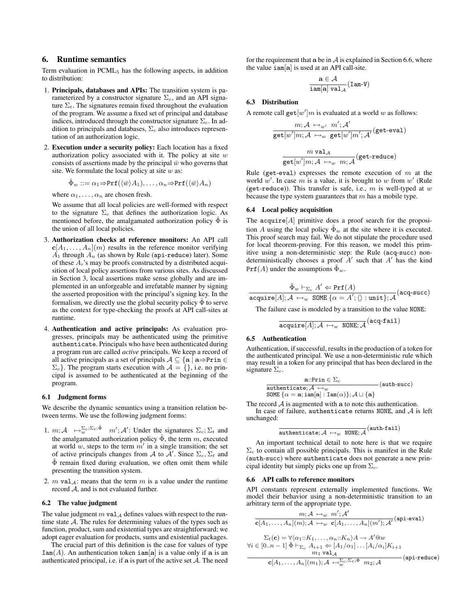# 6. Runtime semantics

Term evaluation in PCML<sub>5</sub> has the following aspects, in addition to distribution:

- 1. Principals, databases and APIs: The transition system is parameterized by a constructor signature  $\Sigma_c$ , and an API signature  $\Sigma_t$ . The signatures remain fixed throughout the evaluation of the program. We assume a fixed set of principal and database indices, introduced through the constructor signature  $\Sigma_c$ . In addition to principals and databases,  $\Sigma_c$  also introduces representation of an authorization logic.
- 2. Execution under a security policy: Each location has a fixed authorization policy associated with it. The policy at site  $w$ consists of assertions made by the principal  $\bar{w}$  who governs that site. We formulate the local policy at site  $w$  as:

$$
\hat{\Phi}_w ::= \alpha_1 \Rightarrow \text{Prf}(\langle \bar{w} \rangle A_1), \dots, \alpha_n \Rightarrow \text{Prf}(\langle \bar{w} \rangle A_n)
$$

where  $\alpha_1, \ldots, \alpha_n$  are chosen fresh.

We assume that all local policies are well-formed with respect to the signature  $\Sigma_c$  that defines the authorization logic. As mentioned before, the amalgamated authorization policy  $\Phi$  is the union of all local policies.

- 3. Authorization checks at reference monitors: An API call  $c[A_1, \ldots, A_n](m)$  results in the reference monitor verifying  $A_1$  through  $A_n$  (as shown by Rule (api-reduce) later). Some of these  $A_i$ 's may be proofs constructed by a distributed acquisition of local policy assertions from various sites. As discussed in Section 3, local assertions make sense globally and are implemented in an unforgeable and irrefutable manner by signing the asserted proposition with the principal's signing key. In the formalism, we directly use the global security policy  $\hat{\Phi}$  to serve as the context for type-checking the proofs at API call-sites at runtime.
- 4. Authentication and active principals: As evaluation progresses, principals may be authenticated using the primitive authenticate. Principals who have been authenticated during a program run are called *active* principals. We keep a record of all active principals as a set of principals  $A \subseteq {\bf a} \mid {\bf a} \Rightarrow {\bf Prin} \in {\bf a}$  $\Sigma_c$ . The program starts execution with  $\mathcal{A} = \{\}$ , i.e. no principal is assumed to be authenticated at the beginning of the program.

#### 6.1 Judgment forms

We describe the dynamic semantics using a transition relation between terms. We use the following judgment forms:

- 1.  $m; \mathcal{A} \mapsto_{w}^{\Sigma_c; \Sigma_t; \hat{\Phi}} m'; \mathcal{A}'$ : Under the signatures  $\Sigma_c; \Sigma_t$  and the amalgamated authorization policy  $\hat{\Phi}$ , the term m, executed at world w, steps to the term  $m'$  in a single transition; the set of active principals changes from A to  $\mathcal{A}'$ . Since  $\Sigma_c, \Sigma_t$  and  $\hat{\Phi}$  remain fixed during evaluation, we often omit them while presenting the transition system.
- 2. m val<sub>A</sub>: means that the term m is a value under the runtime record A, and is not evaluated further.

#### 6.2 The value judgment

The value judgment  $m \text{ val}_{\mathcal{A}}$  defines values with respect to the runtime state  $A$ . The rules for determining values of the types such as function, product, sum and existential types are straightforward; we adopt eager evaluation for products, sums and existential packages.

The crucial part of this definition is the case for values of type  $\text{Iam}(A)$ . An authentication token  $\text{Iam}[\textbf{a}]$  is a value only if a is an authenticated principal, i.e. if  $a$  is part of the active set  $A$ . The need

for the requirement that  $a$  be in  $A$  is explained in Section 6.6, where the value iam[a] is used at an API call-site.

$$
\frac{\mathbf{a}\in\mathcal{A}}{\mathtt{iam}[\mathbf{a}]\ \mathtt{val}_\mathcal{A}}(\mathtt{Iam\text{-}V})
$$

# 6.3 Distribution

A remote call get  $[w']m$  is evaluated at a world w as follows:

$$
\frac{m;\mathcal{A} \mapsto_{w'} m';\mathcal{A}'}{\texttt{get}[w']m;\mathcal{A} \mapsto_{w} \texttt{get}[w']m';\mathcal{A}'}(\texttt{get-eval})
$$
\n
$$
\frac{m \text{ val}_{\mathcal{A}}}{\texttt{get}[w']m;\mathcal{A} \mapsto_{w} m;\mathcal{A}}(\texttt{get-reduce})
$$

Rule (get-eval) expresses the remote execution of  $m$  at the world  $w'$ . In case m is a value, it is brought to w from  $w'$  (Rule (get-reduce)). This transfer is safe, i.e.,  $m$  is well-typed at  $w$ because the type system guarantees that  $m$  has a mobile type.

#### 6.4 Local policy acquisition

The acquire $[A]$  primitive does a proof search for the proposition A using the local policy  $\hat{\Phi}_w$  at the site where it is executed. This proof search may fail. We do not stipulate the procedure used for local theorem-proving. For this reason, we model this primitive using a non-deterministic step: the Rule (acq-succ) nondeterministically chooses a proof  $A'$  such that  $A'$  has the kind  $Prf(A)$  under the assumptions  $\hat{\Phi}_w$ .

$$
\frac{\hat{\Phi}_w \vdash_{\Sigma_c} A' \Leftarrow \texttt{Prf}(A)}{\texttt{acquire}[A]; \mathcal{A} \mapsto_w \texttt{SOME}\,\{ \alpha = A'; \langle \rangle : \texttt{unit} \}; \mathcal{A} }(\texttt{acq-score})
$$

The failure case is modeled by a transition to the value NONE:

$$
\overline{\texttt{acquire}[A]; \mathcal{A} \mapsto_w \texttt{NONE}; \mathcal{A}}(\texttt{acq-fail})
$$

#### 6.5 Authentication

Authentication, if successful, results in the production of a token for the authenticated principal. We use a non-deterministic rule which may result in a token for any principal that has been declared in the signature  $\Sigma_c$ .

$$
\begin{array}{ll} \textbf{a::Prin} \in \Sigma_c & (\textbf{auth-succ}) \\ \hline \textbf{authenticate}; \mathcal{A} \mapsto_w & (\textbf{auth-succ}) \\ \textbf{SOME } \{\alpha = \textbf{a}; \, \textbf{i} \, \textbf{am}[\textbf{a}]: \, \textbf{I} \, \textbf{am}(\alpha)\}; \mathcal{A} \cup \{\textbf{a}\} \end{array}
$$

The record  $A$  is augmented with a to note this authentication. In case of failure, authenticate returns NONE, and  $A$  is left

unchanged:  $(1, 1, 1, 2, 1)$ 

$$
\overline{\text{authenticate}; \mathcal{A} \mapsto_w \text{NONE}; \mathcal{A}}^{\text{(auth-fail)}}
$$

An important technical detail to note here is that we require  $\Sigma_c$  to contain all possible principals. This is manifest in the Rule (auth-succ) where authenticate does not generate a new principal identity but simply picks one up from  $\Sigma_c$ .

#### 6.6 API calls to reference monitors

API constants represent externally implemented functions. We model their behavior using a non-deterministic transition to an arbitrary term of the appropriate type.

$$
\frac{m; \mathcal{A} \mapsto_w m'; \mathcal{A}'}{\mathbf{c}[A_1, \dots, A_n](m); \mathcal{A} \mapsto_w \mathbf{c}[A_1, \dots, A_n](m'); \mathcal{A}'} \text{(api-eval)}
$$
\n
$$
\Sigma_t(\mathbf{c}) = \forall \langle \alpha_1 :: K_1, \dots, \alpha_n :: K_n \rangle A \to \mathcal{A'} \textcircled{w}
$$
\n
$$
\forall i \in [0..n-1] \hat{\Phi} \vdash_{\Sigma_c} A_{i+1} \Leftarrow [A_1/\alpha_1] \dots [A_i/\alpha_i] K_{i+1}
$$
\n
$$
\frac{m_1 \text{ val}_{\mathcal{A}}}{\mathbf{c}[A_1, \dots, A_n](m_1); \mathcal{A} \mapsto_w^{\Sigma_c; \Sigma_t; \Phi} m_2; \mathcal{A}} \text{(api-reduce)}
$$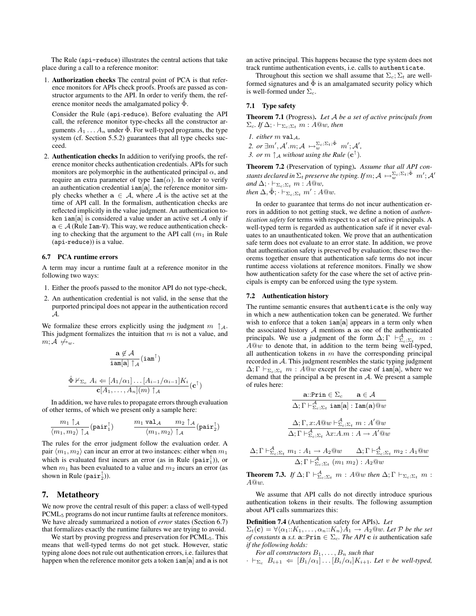The Rule (api-reduce) illustrates the central actions that take place during a call to a reference monitor:

1. Authorization checks The central point of PCA is that reference monitors for APIs check proofs. Proofs are passed as constructor arguments to the API. In order to verify them, the reference monitor needs the amalgamated policy  $\Phi$ .

Consider the Rule (api-reduce). Before evaluating the API call, the reference monitor type-checks all the constructor arguments  $A_1 \ldots A_n$  under  $\hat{\Phi}$ . For well-typed programs, the type system (cf. Section 5.5.2) guarantees that all type checks succeed.

2. Authentication checks In addition to verifying proofs, the reference monitor checks authentication credentials. APIs for such monitors are polymorphic in the authenticated principal  $\alpha$ , and require an extra parameter of type  $\text{Iam}(\alpha)$ . In order to verify an authentication credential  $iam[a]$ , the reference monitor simply checks whether  $a \in A$ , where A is the active set at the time of API call. In the formalism, authentication checks are reflected implicitly in the value judgment. An authentication token iam[a] is considered a value under an active set  $A$  only if  $a \in \mathcal{A}$  (Rule Iam-V). This way, we reduce authentication checking to checking that the argument to the API call  $(m_1$  in Rule (api-reduce)) is a value.

## 6.7 PCA runtime errors

A term may incur a runtime fault at a reference monitor in the following two ways:

- 1. Either the proofs passed to the monitor API do not type-check,
- 2. An authentication credential is not valid, in the sense that the purported principal does not appear in the authentication record A.

We formalize these errors explicitly using the judgment  $m \uparrow_A$ . This judgment formalizes the intuition that  $m$  is not a value, and  $m; A \not\mapsto_w$ .

$$
\frac{\mathbf{a} \notin \mathcal{A}}{\mathop{\mathtt{iam}}[\mathbf{a}] \uparrow_{\mathcal{A}}} (\mathop{\mathtt{iam}}^{\uparrow})
$$

$$
\frac{\hat{\Phi} \models_{\Sigma_c} A_i \Leftarrow [A_1/\alpha_1] \dots [A_{i-1}/\alpha_{i-1}] K_i}{\mathbf{c}[A_1, \dots, A_n](m) \uparrow_{\mathcal{A}}} (\mathbf{c}^{\uparrow})
$$

In addition, we have rules to propagate errors through evaluation of other terms, of which we present only a sample here:

$$
\frac{m_1\uparrow_{\mathcal{A}}}{\langle m_1,m_2\rangle\uparrow_{\mathcal{A}}}(\text{pair}_1^{\uparrow}) \qquad \quad \frac{m_1\,\text{val}_{\mathcal{A}}}{\langle m_1,m_2\rangle\uparrow_{\mathcal{A}}} \frac{m_2\uparrow_{\mathcal{A}}}{\langle\text{pair}_2^{\uparrow}\rangle}
$$

The rules for the error judgment follow the evaluation order. A pair  $\langle m_1, m_2 \rangle$  can incur an error at two instances: either when  $m_1$ which is evaluated first incurs an error (as in Rule ( $pair_1^{\dagger}$ )), or when  $m_1$  has been evaluated to a value and  $m_2$  incurs an error (as shown in Rule ( $pair_2^{\uparrow})$ ).

## 7. Metatheory

We now prove the central result of this paper: a class of well-typed PCML<sup>5</sup> programs do not incur runtime faults at reference monitors. We have already summarized a notion of *error* states (Section 6.7) that formalizes exactly the runtime failures we are trying to avoid.

We start by proving progress and preservation for PCML<sub>5</sub>. This means that well-typed terms do not get stuck. However, static typing alone does not rule out authentication errors, i.e. failures that happen when the reference monitor gets a token  $iam[a]$  and a is not an active principal. This happens because the type system does not track runtime authentication events, i.e. calls to authenticate.

Throughout this section we shall assume that  $\Sigma_c$ ;  $\Sigma_t$  are wellformed signatures and  $\Phi$  is an amalgamated security policy which is well-formed under  $\Sigma_c$ .

# 7.1 Type safety

Theorem 7.1 (Progress). *Let* A *be a set of active principals from*  $\Sigma_c$ *.* If  $\Delta$ ;  $\vdash_{\Sigma_c;\Sigma_t} m$  : A@w, then

- *1.*  $\text{either } m \text{ val}_\mathcal{A},$
- 2. *or*  $\exists m', \mathcal{A}'.m; \mathcal{A} \mapsto_w^{\Sigma_c;\Sigma_t; \hat{\Phi}} m'; \mathcal{A}',$
- *3. or*  $m \uparrow_A$  *without using the Rule*  $(c^{\uparrow})$ *.*

Theorem 7.2 (Preservation of typing). *Assume that all API constants declared in*  $\Sigma_t$  *preserve the typing. If*  $m; A \mapsto_w^{\Sigma_c; \Sigma_t; \hat{\Phi}} m'; A'$ *and*  $\Delta$ ;  $\vdash_{\Sigma_c;\Sigma_t} m$  :  $A@w$ , *then*  $\Delta, \hat{\Phi}$ ;  $\vdash_{\Sigma_c; \Sigma_t} m'$  :  $A@w$ .

In order to guarantee that terms do not incur authentication errors in addition to not getting stuck, we define a notion of *authentication safety* for terms with respect to a set of active principals. A well-typed term is regarded as authentication safe if it never evaluates to an unauthenticated token. We prove that an authentication safe term does not evaluate to an error state. In addition, we prove that authentication safety is preserved by evaluation; these two theorems together ensure that authentication safe terms do not incur runtime access violations at reference monitors. Finally we show how authentication safety for the case where the set of active principals is empty can be enforced using the type system.

#### 7.2 Authentication history

The runtime semantic ensures that authenticate is the only way in which a new authentication token can be generated. We further wish to enforce that a token  $iam[a]$  appears in a term only when the associated history  $A$  mentions  $a$  as one of the authenticated principals. We use a judgment of the form  $\Delta; \Gamma \vdash_{\Sigma_c; \Sigma_t}^{\mathcal{A}} m$ :  $A@w$  to denote that, in addition to the term being well-typed, all authentication tokens in  $m$  have the corresponding principal recorded in A. This judgment resembles the static typing judgment  $\Delta; \Gamma \vdash_{\Sigma_c; \Sigma_t} m : A@w$  except for the case of iam[a], where we demand that the principal  $\bf{a}$  be present in  $\cal{A}$ . We present a sample of rules here:

$$
\mathbf{a} \colon \mathbf{Prin} \in \Sigma_c \qquad \mathbf{a} \in \mathcal{A}
$$

$$
\Delta; \Gamma \vdash^{\mathcal{A}}_{\Sigma_c; \Sigma_t} \mathbf{i} \mathbf{a} \mathbf{m}[\mathbf{a}] : \mathbf{I} \mathbf{a} \mathbf{m}(\mathbf{a}) @ w
$$

$$
\Delta; \Gamma, x : A @ w \vdash^{\mathcal{A}}_{\Sigma_c; \Sigma_t} m : A' @ w
$$

$$
\Delta; \Gamma \vdash^{\mathcal{A}}_{\Sigma_c; \Sigma_t} \lambda x : A.m : A \to A' @ w
$$

$$
\vdash^{\mathcal{A}}_{\Sigma_c; \Sigma_t} m_1 : A_1 \to A_2 @ w \qquad \Delta; \Gamma \vdash^{\mathcal{A}}_{\Sigma_c; \Sigma_t} m_2 : A_1 @ w
$$

$$
\frac{\Delta; \Gamma \vdash^{\mathcal{A}}_{\Sigma_c; \Sigma_t} m_1 : A_1 \to A_2 @ w \Delta; \Gamma \vdash^{\mathcal{A}}_{\Sigma_c; \Sigma_t} m_2 : A_1 @ w}{\Delta; \Gamma \vdash^{\mathcal{A}}_{\Sigma_c; \Sigma_t} (m_1 m_2) : A_2 @ w}
$$

**Theorem 7.3.** *If*  $\Delta; \Gamma \vdash^{\mathcal{A}}_{\Sigma_c; \Sigma_t} m : A @ w$  *then*  $\Delta; \Gamma \vdash_{\Sigma_c; \Sigma_t} m :$ A@w*.*

We assume that API calls do not directly introduce spurious authentication tokens in their results. The following assumption about API calls summarizes this:

## Definition 7.4 (Authentication safety for APIs). *Let*

 $\Sigma_t(\mathbf{c}) = \forall \langle \alpha_1 : K_1, \ldots, \alpha_n : K_n \rangle A_1 \rightarrow A_2 \mathbb{Q} \mathbf{w}$ . Let P be the set *of constants* **a** *s.t.* **a**::Prin  $\in \Sigma_c$ *. The API* **c** *is* authentication safe *if the following holds:*

*For all constructors*  $B_1, \ldots, B_n$  *such that*  $\cdot \vdash_{\Sigma_c} B_{i+1} \Leftarrow [B_1/\alpha_1] \dots [B_i/\alpha_i] K_{i+1}$ *. Let v be well-typed,*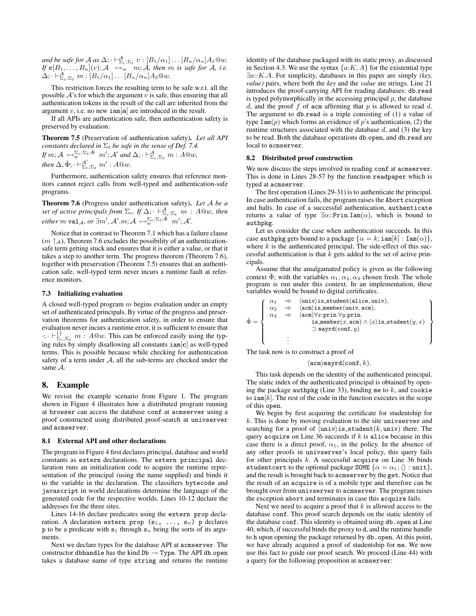and be safe for  $A$  as  $\Delta$ ;  $\vdash_{\Sigma_c,\Sigma_t}^{\mathcal{A}} v : [B_1/\alpha_1] \dots [B_n/\alpha_n] A_1 @w.$ *If*  $\mathbf{c}[B_1,\ldots,B_n](v)$ ;  $\mathcal{A} \mapsto w$  m;  $\mathcal{A}$ , then m is safe for  $\mathcal{A}$ , i.e.  $\Delta; \cdot \vdash_{\Sigma_c; \Sigma_t}^{\mathcal{A}} m : [B_1/\alpha_1] \dots [B_n/\alpha_n] A_2@w.$ 

This restriction forces the resulting term to be safe w.r.t. all the possible  $A$ 's for which the argument v is safe, thus ensuring that all authentication tokens in the result of the call are inherited from the argument  $v$ , i.e. no new iam[a] are introduced in the result.

If all APIs are authentication safe, then authentication safety is preserved by evaluation:

Theorem 7.5 (Preservation of authentication safety). *Let all API constants declared in*  $\Sigma_t$  *be safe in the sense of Def. 7.4. If*  $m; A \mapsto_w^{\Sigma_c; \Sigma_t; \hat{\Phi}} m'; A'$  and  $\Delta; \cdot \vdash_{\Sigma_c; \Sigma_t}^{\mathcal{A}} m : A @w$ ,

*then*  $\Delta$ ,  $\hat{\Phi}$ ;  $\cdot \vdash^{\mathcal{A}'}_{\Sigma_c;\Sigma_t} m'$  :  $A@w$ .

Furthermore, authentication safety ensures that reference monitors cannot reject calls from well-typed and authentication-safe programs.

Theorem 7.6 (Progress under authentication safety). *Let* A *be a set of active principals from*  $\Sigma_c$ *. If*  $\Delta$ ;  $\vdash \stackrel{\mathcal{A}}{\Sigma_c}$ ; $\Sigma_t$   $m$  :  $A@w$ *, then*  $\emph{either}\emph{ }m\emph{ val}_{\mathcal{A}}, \emph{or}\emph{ } \exists m', \mathcal{A}'.m; \mathcal{A }\rightarrow_{w}^{\Sigma_{c};\Sigma_{t};\hat{\Phi}} m';\mathcal{A}'.$ 

Notice that in contrast to Theorem 7.1 which has a failure clause  $(m \uparrow_{\mathcal{A}})$ , Theorem 7.6 excludes the possibility of an authenticationsafe term getting stuck and ensures that it is either a value, or that it takes a step to another term. The progress theorem (Theorem 7.6), together with preservation (Theorem 7.5) ensures that an authentication safe, well-typed term never incurs a runtime fault at reference monitors.

### 7.3 Initializing evaluation

A closed well-typed program  $m$  begins evaluation under an empty set of authenticated principals. By virtue of the progress and preservation theorems for authentication safety, in order to ensure that evaluation never incurs a runtime error, it is sufficient to ensure that  $\cdot$ ;  $\cdot \vdash_{\Sigma_c,\Sigma_t}^{\{\}$  m :  $A@w$ . This can be enforced easily using the typing rules by simply disallowing all constants  $iam[c]$  as well-typed terms. This is possible because while checking for authentication safety of a term under  $A$ , all the sub-terms are checked under the same A.

# 8. Example

We revisit the example scenario from Figure 1. The program shown in Figure 4 illustrates how a distributed program running at browser can access the database conf at acmserver using a proof constructed using distributed proof-search at univserver and acmserver.

#### 8.1 External API and other declarations

The program in Figure 4 first declares principal, database and world constants as extern declarations. The extern principal declaration runs an initialization code to acquire the runtime representation of the principal (using the name supplied) and binds it to the variable in the declaration. The classifiers bytecode and javascript in world declarations determine the language of the generated code for the respective worlds. Lines 10-12 declare the addresses for the three sites.

Lines 14-16 declare predicates using the extern prop declaration. A declaration extern prop  $(s_1, \ldots, s_n)$  p declares p to be a predicate with  $s_1$  through  $s_n$  being the sorts of its arguments.

Next we declare types for the database API at acmserver. The constructor dbhandle has the kind  $Db \rightarrow Type$ . The API db.open takes a database name of type string and returns the runtime

identity of the database packaged with its static proxy, as discussed in Section 4.3. We use the syntax  $\{a:K, A\}$  for the existential type ∃a::K.A. For simplicity, databases in this paper are simply *(key, value)* pairs, where both the *key* and the *value* are strings. Line 21 introduces the proof-carrying API for reading databases: db.read is typed polymorphically in the accessing principal  $p$ , the database d, and the proof  $f$  of acm affirming that  $p$  is allowed to read  $d$ . The argument to db.read is a triple consisting of (1) a value of type  $\texttt{Iam}(p)$  which forms an evidence of p's authentication, (2) the runtime structures associated with the database  $d$ , and (3) the key to be read. Both the database operations db.open, and db.read are local to acmserver.

#### 8.2 Distributed proof construction

We now discuss the steps involved in reading conf at acmserver. This is done in Lines 28-57 by the function readpaper which is typed at acmserver.

The first operation (Lines 29-31) is to authenticate the principal. In case authentication fails, the program raises the Abort exception and halts. In case of a successful authentication, authenticate returns a value of type  $\exists \alpha$ ::Prin.Iam( $\alpha$ ), which is bound to authpkg.

Let us consider the case when authentication succeeds. In this case authpkg gets bound to a package  $\{\alpha = k; \text{iam}[k] : \text{Iam}(\alpha)\},$ where  $k$  is the authenticated principal. The side-effect of this successful authentication is that  $k$  gets added to the set of active principals.

Assume that the amalgamated policy is given as the following context  $\hat{\Phi}$ , with the variables  $\alpha_1, \alpha_2, \alpha_3$  chosen fresh. The whole program is run under this context. In an implementation, these variables would be bound to digital certificates.

$$
\hat{\Phi} = \left\{ \begin{array}{ccl} \alpha_1 & \Rightarrow & \langle \text{univ} \rangle \text{is\_student}(\text{alice}, \text{univ}), \\ \alpha_2 & \Rightarrow & \langle \text{acm} \rangle \text{is\_member}(\text{univ}, \text{acm}), \\ \alpha_3 & \Rightarrow & \langle \text{acm} \rangle \forall x \text{:prim.} \forall y \text{:prim.} \\ & & \text{is\_member}(x, \text{acm}) \land \langle x \rangle \text{is\_student}(y, x) \\ & & \supset \text{mayrd}(\text{conf}, y) \\ & & \vdots \end{array} \right.
$$

 $\mathcal{L}$  $\overline{\phantom{a}}$ 

 $\int$ 

The task now is to construct a proof of

$$
\langle \texttt{acm}\rangle \texttt{mayrd}(\texttt{conf}, k).
$$

This task depends on the identity of the authenticated principal. The static index of the authenticated principal is obtained by opening the package authpkg (Line 33), binding me to  $k$ , and cookie to  $\text{iam}[k]$ . The rest of the code in the function executes in the scope of this open.

We begin by first acquiring the certificate for studentship for  $k$ . This is done by moving evaluation to the site univserver and searching for a proof of  $\langle \text{univ} \rangle$  is student $(k, \text{univ})$  there. The query acquire on Line 36 succeeds if  $k$  is alice because in this case there is a direct proof,  $\alpha_1$ , in the policy. In the absence of any other proofs in univserver's local policy, this query fails for other principals  $k$ . A successful acquire on Line 36 binds studentcert to the optional package SOME  $\{\alpha = \alpha_1;\langle\rangle : \text{unit}\},\$ and the result is brought back to acmserver by the get. Notice that the result of an acquire is of a mobile type and therefore can be brought over from univserver to acmserver. The program raises the exception abort and terminates in case this acquire fails.

Next we need to acquire a proof that  $k$  is allowed access to the database conf. This proof search depends on the static identity of the database conf. This identity is obtained using db.open at Line 40, which, if successful binds the proxy to d, and the runtime handle to h upon opening the package returned by db.open. At this point, we have already acquired a proof of studentship for me. We now use this fact to guide our proof search. We proceed (Line 44) with a query for the following proposition at acmserver: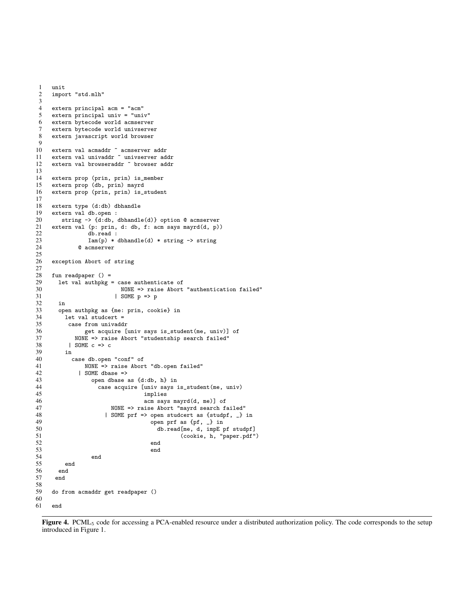```
1 unit<br>2 impo
      import "std.mlh"
 3
 4 extern principal acm = "acm"
     extern principal univ = "univ"6 extern bytecode world acmserver
 7 extern bytecode world univserver
      extern javascript world browser
\frac{9}{10}extern val acmaddr ~ acmserver addr
11 extern val univaddr ~ univserver addr<br>12 extern val browseraddr ~ browser addr
      extern val browseraddr ~ browser addr
13
14 extern prop (prin, prin) is_member<br>15 extern prop (db, prin) mayrd
15 extern prop (db, prin) mayrd<br>16 extern prop (prin prin) is
      extern prop (prin, prin) is_student
\begin{array}{c} 17 \\ 18 \end{array}18 extern type (d:db) dbhandle<br>19 extern val db.open :
19 extern val db.open :<br>20 string \rightarrow {d:db,
20 string \rightarrow {d:db, dbhandle(d)} option @ acmserver<br>21 extern val (p: prin, d: db, f: acm savs mayrd(d, p)
      extern val (p: prin, d: db, f: acm says mayrd(d, p))
22 db.read :<br>23 \text{Iam(p)} *
23 Iam(p) * dbhandle(d) * string -> string 24 \alpha acmserver
                @ acmserver
25
26 exception Abort of string
\frac{27}{28}fun readpaper () =29 let val authpkg = case authenticate of 30 MONE => raise Abort
                                NONE => raise Abort "authentication failed"
31 | SOME p => p
\begin{array}{ccc} 32 & \text{in} \\ 33 & \text{op} \end{array}open authpkg as {me: prin, cookie} in
34 let val studcert =<br>35 case from univadd:
35 case from univaddr<br>36 get acquire [1]
36 get acquire [univ says is_student(me, univ)] of
37 NONE => raise Abort "studentship search failed"<br>38 | SOME c = > c38 | SOME c => c<br>39 in
\begin{array}{ccc} 39 & \text{in} \\ 40 & \text{out} \end{array}40 case db.open "conf" of<br>41 NONE => raise Abor
41 NONE => raise Abort "db.open failed"<br>42 | SOME dbase =>
42 | SOME dbase =><br>43 | open dbase
                    open dbase as {d:db, h} in
44 case acquire [univ says is_student(me, univ)
45 implies<br>46 acm says
                                        acm says mayrd(d, me)] of
47 NONE => raise Abort "mayrd search failed"<br>48 | SOME prf => open studcert as {studpf, _}
48 | SOME prf => open studcert as {studpf, _} in<br>49 00en prf as {pf, } in
49 open prf as {pf, _} in<br>50 db.read[me, d, impE p
50 db.read[me, d, impE pf studpf]<br>51 (cookie, h, "paper.pdf"
                                                      51 (cookie, h, "paper.pdf")
52 end
53 end
54 end
55 end
56 end
       end
58
      do from acmaddr get readpaper ()
\begin{array}{c} 60 \\ 61 \end{array}end
```
Figure 4. PCML<sub>5</sub> code for accessing a PCA-enabled resource under a distributed authorization policy. The code corresponds to the setup introduced in Figure 1.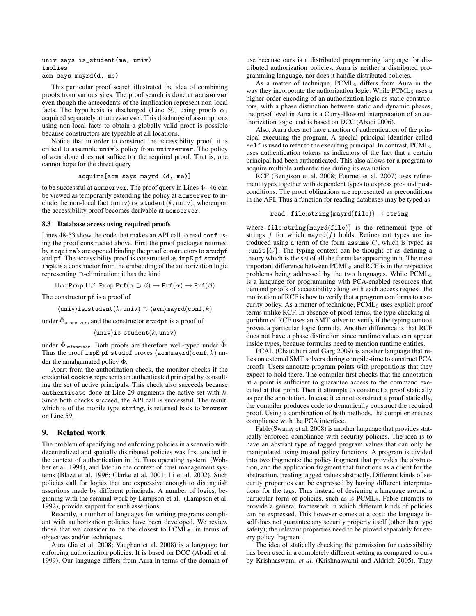#### univ says is\_student(me, univ) implies acm says mayrd(d, me)

This particular proof search illustrated the idea of combining proofs from various sites. The proof search is done at acmserver even though the antecedents of the implication represent non-local facts. The hypothesis is discharged (Line 50) using proofs  $\alpha_1$ acquired separately at univserver. This discharge of assumptions using non-local facts to obtain a globally valid proof is possible because constructors are typeable at all locations.

Notice that in order to construct the accessibility proof, it is critical to assemble univ's policy from univserver. The policy of acm alone does not suffice for the required proof. That is, one cannot hope for the direct query

#### acquire[acm says mayrd (d, me)]

to be successful at acmserver. The proof query in Lines 44-46 can be viewed as temporarily extending the policy at acmserver to include the non-local fact  $\langle \text{univ} \rangle$  is student $(k, \text{univ})$ , whereupon the accessibility proof becomes derivable at acmserver.

#### 8.3 Database access using required proofs

Lines 48-53 show the code that makes an API call to read conf using the proof constructed above. First the proof packages returned by acquire's are opened binding the proof constructors to studpf and pf. The accessibility proof is constructed as impE pf studpf. impE is a constructor from the embedding of the authorization logic representing ⊃-elimination; it has the kind

$$
\Pi \alpha::Prop.\Pi \beta::Prop.\Prf(\alpha \supset \beta) \to Prf(\alpha) \to Prf(\beta)
$$

The constructor pf is a proof of

 $\langle \texttt{univ} \rangle$  is<br>  $\texttt{student}(k, \texttt{univ}) \supset \langle \texttt{acm} \rangle$  mayrd(conf,  $k)$ 

under  $\hat{\Phi}_{\text{acmserver}}$ , and the constructor studpf is a proof of

 $\langle \text{univ} \rangle$ is\_student $(k, \text{univ})$ 

under  $\hat{\Phi}_{\text{univserver}}$ . Both proofs are therefore well-typed under  $\hat{\Phi}$ . Thus the proof impE pf studpf proves  $\langle \text{acm} \rangle$  mayrd(conf, k) under the amalgamated policy  $\ddot{\Phi}$ .

Apart from the authorization check, the monitor checks if the credential cookie represents an authenticated principal by consulting the set of active principals. This check also succeeds because authenticate done at Line 29 augments the active set with  $k$ . Since both checks succeed, the API call is successful. The result, which is of the mobile type string, is returned back to browser on Line 59.

### 9. Related work

The problem of specifying and enforcing policies in a scenario with decentralized and spatially distributed policies was first studied in the context of authentication in the Taos operating system (Wobber et al. 1994), and later in the context of trust management systems (Blaze et al. 1996; Clarke et al. 2001; Li et al. 2002). Such policies call for logics that are expressive enough to distinguish assertions made by different principals. A number of logics, beginning with the seminal work by Lampson et al. (Lampson et al. 1992), provide support for such assertions.

Recently, a number of languages for writing programs compliant with authorization policies have been developed. We review those that we consider to be the closest to  $PCML<sub>5</sub>$ , in terms of objectives and/or techniques.

Aura (Jia et al. 2008; Vaughan et al. 2008) is a language for enforcing authorization policies. It is based on DCC (Abadi et al. 1999). Our language differs from Aura in terms of the domain of use because ours is a distributed programming language for distributed authorization policies. Aura is neither a distributed programming language, nor does it handle distributed policies.

As a matter of technique, PCML<sub>5</sub> differs from Aura in the way they incorporate the authorization logic. While PCML<sub>5</sub> uses a higher-order encoding of an authorization logic as static constructors, with a phase distinction between static and dynamic phases, the proof level in Aura is a Curry-Howard interpretation of an authorization logic, and is based on DCC (Abadi 2006).

Also, Aura does not have a notion of authentication of the principal executing the program. A special principal identifier called self is used to refer to the executing principal. In contrast, PCML<sub>5</sub> uses authentication tokens as indicators of the fact that a certain principal had been authenticated. This also allows for a program to acquire multiple authenticities during its evaluation.

RCF (Bengtson et al. 2008; Fournet et al. 2007) uses refinement types together with dependent types to express pre- and postconditions. The proof obligations are represented as preconditions in the API. Thus a function for reading databases may be typed as

# $read: file:string{mayrd(file)} \rightarrow string$

where file:string{mayrd(file)} is the refinement type of strings  $f$  for which mayrd $(f)$  holds. Refinement types are introduced using a term of the form assume  $C$ , which is typed as ::unit  $\{C\}$ . The typing context can be thought of as defining a theory which is the set of all the formulae appearing in it. The most important difference between  $PCML<sub>5</sub>$  and RCF is in the respective problems being addressed by the two languages. While PCML<sup>5</sup> is a language for programming with PCA-enabled resources that demand proofs of accessibility along with each access request, the motivation of RCF is how to verify that a program conforms to a security policy. As a matter of technique, PCML<sup>5</sup> uses explicit proof terms unlike RCF. In absence of proof terms, the type-checking algorithm of RCF uses an SMT solver to verify if the typing context proves a particular logic formula. Another difference is that RCF does not have a phase distinction since runtime values can appear inside types, because formulas need to mention runtime entities.

PCAL (Chaudhuri and Garg 2009) is another language that relies on external SMT solvers during compile-time to construct PCA proofs. Users annotate program points with propositions that they expect to hold there. The compiler first checks that the annotation at a point is sufficient to guarantee access to the command executed at that point. Then it attempts to construct a proof statically as per the annotation. In case it cannot construct a proof statically, the compiler produces code to dynamically construct the required proof. Using a combination of both methods, the compiler ensures compliance with the PCA interface.

Fable(Swamy et al. 2008) is another language that provides statically enforced compliance with security policies. The idea is to have an abstract type of tagged program values that can only be manipulated using trusted policy functions. A program is divided into two fragments: the policy fragment that provides the abstraction, and the application fragment that functions as a client for the abstraction, treating tagged values abstractly. Different kinds of security properties can be expressed by having different interpretations for the tags. Thus instead of designing a language around a particular form of policies, such as is PCML5, Fable attempts to provide a general framework in which different kinds of policies can be expressed. This however comes at a cost: the language itself does not guarantee any security property itself (other than type safety); the relevant properties need to be proved separately for every policy fragment.

The idea of statically checking the permission for accessibility has been used in a completely different setting as compared to ours by Krishnaswami *et al.* (Krishnaswami and Aldrich 2005). They